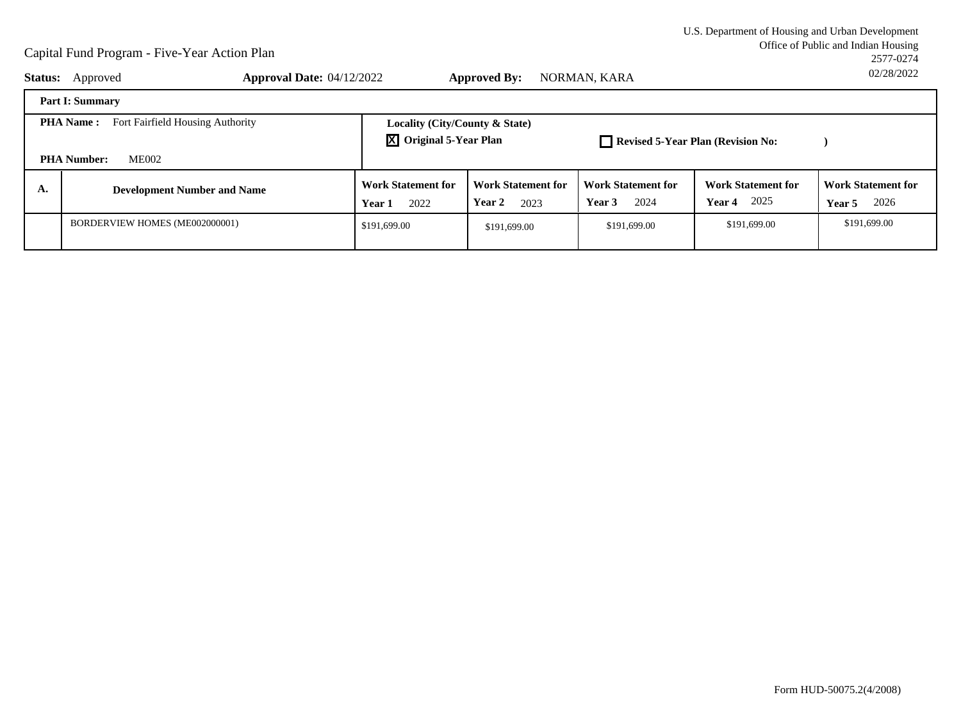Office of Public and Indian Housing<br>2577-0274 U.S. Department of Housing and Urban Development2577-027402/28/2022

| <b>Status:</b>                                       | Approved                           | <b>Approval Date: 04/12/2022</b>            | <b>Approved By:</b>                                                   | NORMAN, KARA                                |                                                 | UZIZOIZUZZ                                  |  |  |
|------------------------------------------------------|------------------------------------|---------------------------------------------|-----------------------------------------------------------------------|---------------------------------------------|-------------------------------------------------|---------------------------------------------|--|--|
|                                                      | Part I: Summary                    |                                             |                                                                       |                                             |                                                 |                                             |  |  |
| Fort Fairfield Housing Authority<br><b>PHA Name:</b> |                                    |                                             | Locality (City/County & State)<br>$\overline{X}$ Original 5-Year Plan |                                             | Revised 5-Year Plan (Revision No:               |                                             |  |  |
| <b>PHA Number:</b><br><b>ME002</b>                   |                                    |                                             |                                                                       |                                             |                                                 |                                             |  |  |
| A.                                                   | <b>Development Number and Name</b> | <b>Work Statement for</b><br>2022<br>Year 1 | <b>Work Statement for</b><br>Year 2<br>2023                           | <b>Work Statement for</b><br>2024<br>Year 3 | <b>Work Statement for</b><br><b>Year 4</b> 2025 | <b>Work Statement for</b><br>2026<br>Year 5 |  |  |
|                                                      | BORDERVIEW HOMES (ME002000001)     | \$191,699.00                                | \$191,699.00                                                          | \$191,699.00                                | \$191,699.00                                    | \$191,699.00                                |  |  |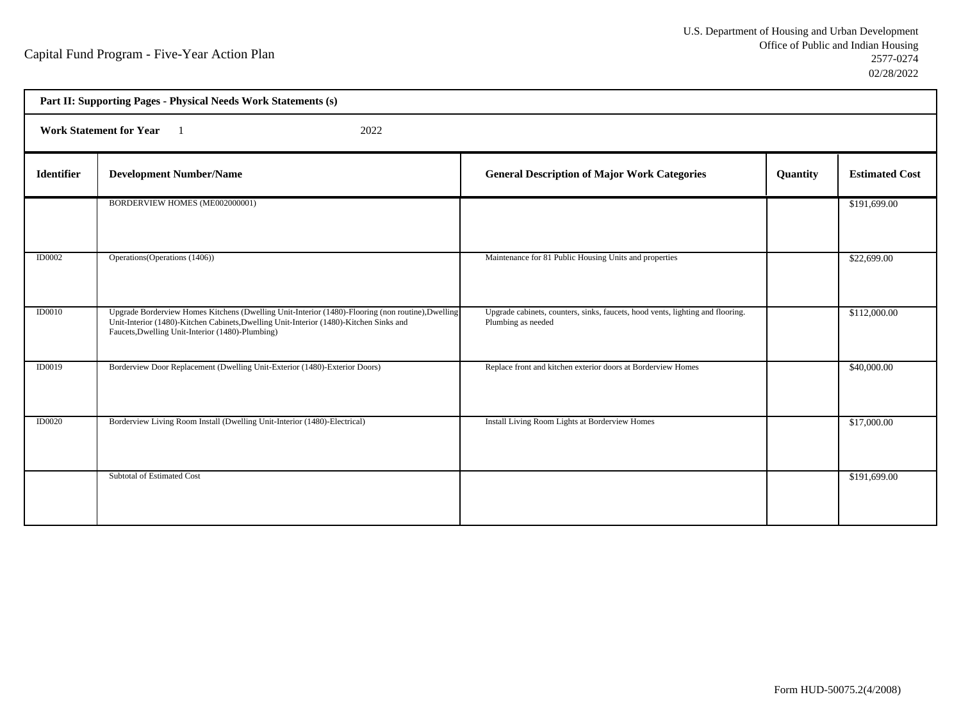| Part II: Supporting Pages - Physical Needs Work Statements (s) |                                                                                                                                                                                                                                                 |                                                                                                      |          |                       |  |  |
|----------------------------------------------------------------|-------------------------------------------------------------------------------------------------------------------------------------------------------------------------------------------------------------------------------------------------|------------------------------------------------------------------------------------------------------|----------|-----------------------|--|--|
| <b>Work Statement for Year</b><br>2022                         |                                                                                                                                                                                                                                                 |                                                                                                      |          |                       |  |  |
| <b>Identifier</b>                                              | <b>Development Number/Name</b>                                                                                                                                                                                                                  | <b>General Description of Major Work Categories</b>                                                  | Quantity | <b>Estimated Cost</b> |  |  |
|                                                                | BORDERVIEW HOMES (ME002000001)                                                                                                                                                                                                                  |                                                                                                      |          | \$191,699.00          |  |  |
| ID0002                                                         | Operations (Operations (1406))                                                                                                                                                                                                                  | Maintenance for 81 Public Housing Units and properties                                               |          | \$22,699.00           |  |  |
| <b>ID0010</b>                                                  | Upgrade Borderview Homes Kitchens (Dwelling Unit-Interior (1480)-Flooring (non routine), Dwelling<br>Unit-Interior (1480)-Kitchen Cabinets, Dwelling Unit-Interior (1480)-Kitchen Sinks and<br>Faucets, Dwelling Unit-Interior (1480)-Plumbing) | Upgrade cabinets, counters, sinks, faucets, hood vents, lighting and flooring.<br>Plumbing as needed |          | \$112,000.00          |  |  |
| <b>ID0019</b>                                                  | Borderview Door Replacement (Dwelling Unit-Exterior (1480)-Exterior Doors)                                                                                                                                                                      | Replace front and kitchen exterior doors at Borderview Homes                                         |          | \$40,000.00           |  |  |
| ID0020                                                         | Borderview Living Room Install (Dwelling Unit-Interior (1480)-Electrical)                                                                                                                                                                       | Install Living Room Lights at Borderview Homes                                                       |          | \$17,000.00           |  |  |
|                                                                | Subtotal of Estimated Cost                                                                                                                                                                                                                      |                                                                                                      |          | \$191,699.00          |  |  |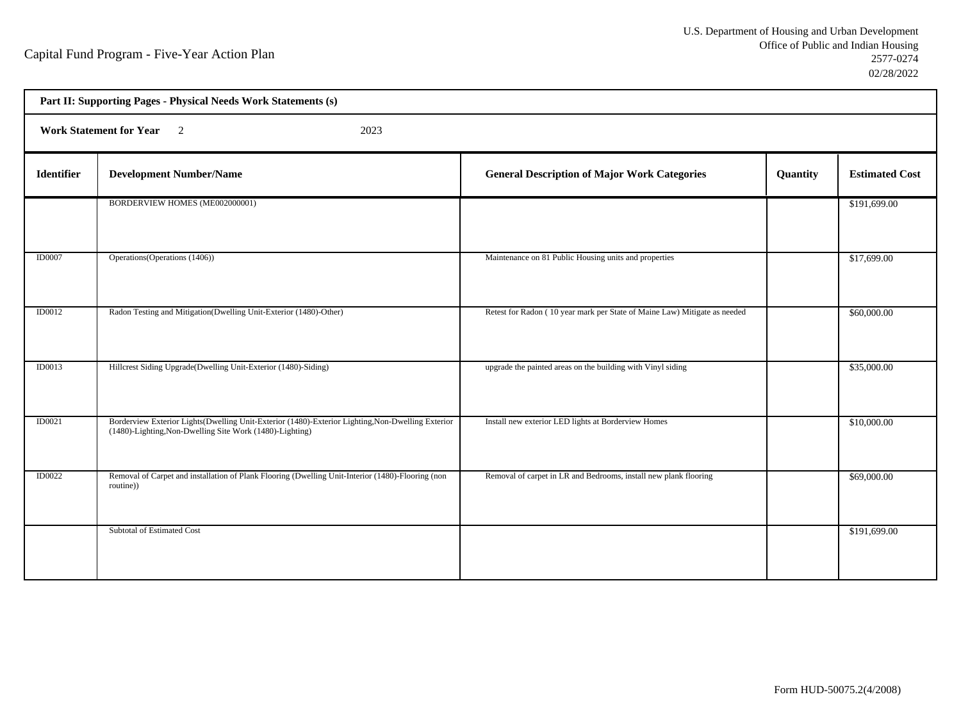| Part II: Supporting Pages - Physical Needs Work Statements (s) |                                                                                                                                                               |                                                                           |          |                       |  |  |
|----------------------------------------------------------------|---------------------------------------------------------------------------------------------------------------------------------------------------------------|---------------------------------------------------------------------------|----------|-----------------------|--|--|
| Work Statement for Year 2<br>2023                              |                                                                                                                                                               |                                                                           |          |                       |  |  |
| <b>Identifier</b>                                              | <b>Development Number/Name</b>                                                                                                                                | <b>General Description of Major Work Categories</b>                       | Quantity | <b>Estimated Cost</b> |  |  |
|                                                                | BORDERVIEW HOMES (ME002000001)                                                                                                                                |                                                                           |          | \$191,699.00          |  |  |
| <b>ID0007</b>                                                  | Operations (Operations (1406))                                                                                                                                | Maintenance on 81 Public Housing units and properties                     |          | \$17,699.00           |  |  |
| <b>ID0012</b>                                                  | Radon Testing and Mitigation(Dwelling Unit-Exterior (1480)-Other)                                                                                             | Retest for Radon (10 year mark per State of Maine Law) Mitigate as needed |          | \$60,000.00           |  |  |
| ID0013                                                         | Hillcrest Siding Upgrade(Dwelling Unit-Exterior (1480)-Siding)                                                                                                | upgrade the painted areas on the building with Vinyl siding               |          | \$35,000.00           |  |  |
| ID0021                                                         | Borderview Exterior Lights(Dwelling Unit-Exterior (1480)-Exterior Lighting, Non-Dwelling Exterior<br>(1480)-Lighting, Non-Dwelling Site Work (1480)-Lighting) | Install new exterior LED lights at Borderview Homes                       |          | \$10,000.00           |  |  |
| <b>ID0022</b>                                                  | Removal of Carpet and installation of Plank Flooring (Dwelling Unit-Interior (1480)-Flooring (non<br>routine))                                                | Removal of carpet in LR and Bedrooms, install new plank flooring          |          | \$69,000.00           |  |  |
|                                                                | Subtotal of Estimated Cost                                                                                                                                    |                                                                           |          | \$191,699.00          |  |  |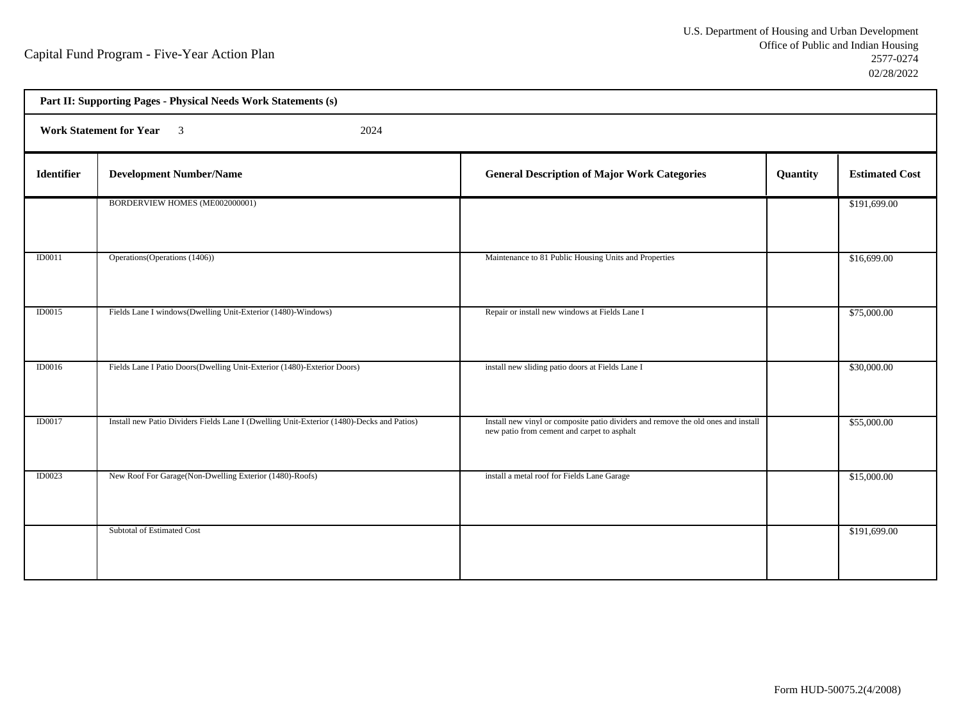h

| Part II: Supporting Pages - Physical Needs Work Statements (s) |                                                                                           |                                                                                                                                  |          |                       |  |  |
|----------------------------------------------------------------|-------------------------------------------------------------------------------------------|----------------------------------------------------------------------------------------------------------------------------------|----------|-----------------------|--|--|
| Work Statement for Year 3<br>2024                              |                                                                                           |                                                                                                                                  |          |                       |  |  |
| <b>Identifier</b>                                              | <b>Development Number/Name</b>                                                            | <b>General Description of Major Work Categories</b>                                                                              | Quantity | <b>Estimated Cost</b> |  |  |
|                                                                | BORDERVIEW HOMES (ME002000001)                                                            |                                                                                                                                  |          | \$191,699.00          |  |  |
| ID0011                                                         | Operations (Operations (1406))                                                            | Maintenance to 81 Public Housing Units and Properties                                                                            |          | \$16,699.00           |  |  |
| ID0015                                                         | Fields Lane I windows(Dwelling Unit-Exterior (1480)-Windows)                              | Repair or install new windows at Fields Lane I                                                                                   |          | \$75,000.00           |  |  |
| <b>ID0016</b>                                                  | Fields Lane I Patio Doors(Dwelling Unit-Exterior (1480)-Exterior Doors)                   | install new sliding patio doors at Fields Lane I                                                                                 |          | \$30,000.00           |  |  |
| <b>ID0017</b>                                                  | Install new Patio Dividers Fields Lane I (Dwelling Unit-Exterior (1480)-Decks and Patios) | Install new vinyl or composite patio dividers and remove the old ones and install<br>new patio from cement and carpet to asphalt |          | \$55,000.00           |  |  |
| ID0023                                                         | New Roof For Garage(Non-Dwelling Exterior (1480)-Roofs)                                   | install a metal roof for Fields Lane Garage                                                                                      |          | \$15,000.00           |  |  |
|                                                                | Subtotal of Estimated Cost                                                                |                                                                                                                                  |          | \$191,699.00          |  |  |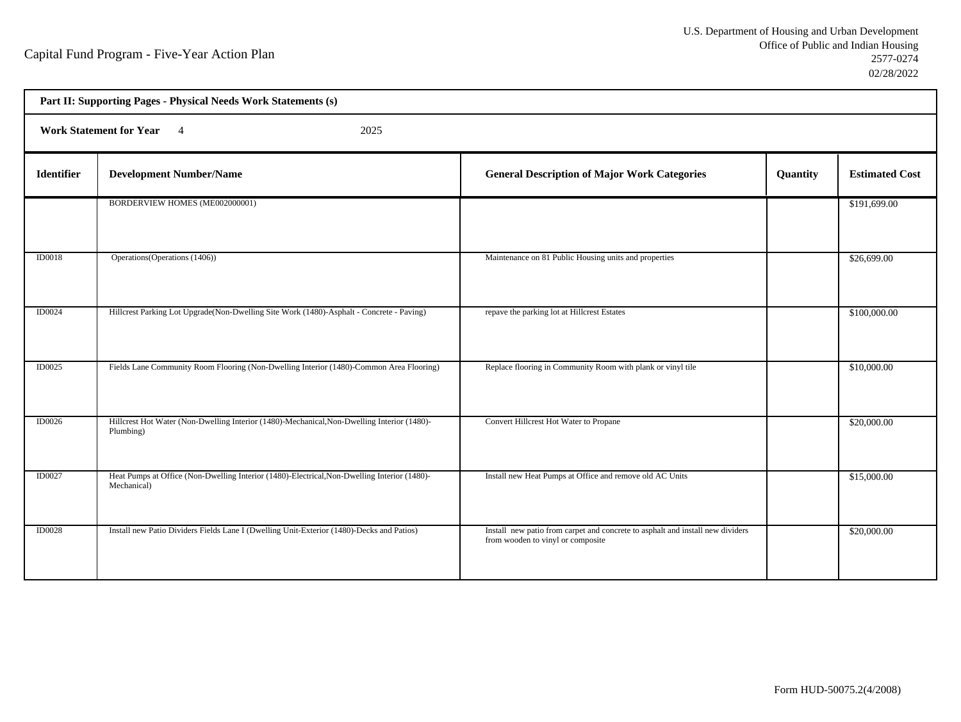| Part II: Supporting Pages - Physical Needs Work Statements (s) |                                                                                                             |                                                                                                                     |          |                       |  |  |
|----------------------------------------------------------------|-------------------------------------------------------------------------------------------------------------|---------------------------------------------------------------------------------------------------------------------|----------|-----------------------|--|--|
| Work Statement for Year 4<br>2025                              |                                                                                                             |                                                                                                                     |          |                       |  |  |
| <b>Identifier</b>                                              | <b>Development Number/Name</b>                                                                              | <b>General Description of Major Work Categories</b>                                                                 | Quantity | <b>Estimated Cost</b> |  |  |
|                                                                | BORDERVIEW HOMES (ME002000001)                                                                              |                                                                                                                     |          | \$191,699.00          |  |  |
| <b>ID0018</b>                                                  | Operations (Operations (1406))                                                                              | Maintenance on 81 Public Housing units and properties                                                               |          | \$26,699.00           |  |  |
| <b>ID0024</b>                                                  | Hillcrest Parking Lot Upgrade(Non-Dwelling Site Work (1480)-Asphalt - Concrete - Paving)                    | repave the parking lot at Hillcrest Estates                                                                         |          | \$100,000.00          |  |  |
| ID0025                                                         | Fields Lane Community Room Flooring (Non-Dwelling Interior (1480)-Common Area Flooring)                     | Replace flooring in Community Room with plank or vinyl tile                                                         |          | \$10,000.00           |  |  |
| <b>ID0026</b>                                                  | Hillcrest Hot Water (Non-Dwelling Interior (1480)-Mechanical, Non-Dwelling Interior (1480)-<br>Plumbing)    | Convert Hillcrest Hot Water to Propane                                                                              |          | \$20,000.00           |  |  |
| <b>ID0027</b>                                                  | Heat Pumps at Office (Non-Dwelling Interior (1480)-Electrical, Non-Dwelling Interior (1480)-<br>Mechanical) | Install new Heat Pumps at Office and remove old AC Units                                                            |          | \$15,000.00           |  |  |
| <b>ID0028</b>                                                  | Install new Patio Dividers Fields Lane I (Dwelling Unit-Exterior (1480)-Decks and Patios)                   | Install new patio from carpet and concrete to asphalt and install new dividers<br>from wooden to vinyl or composite |          | \$20,000.00           |  |  |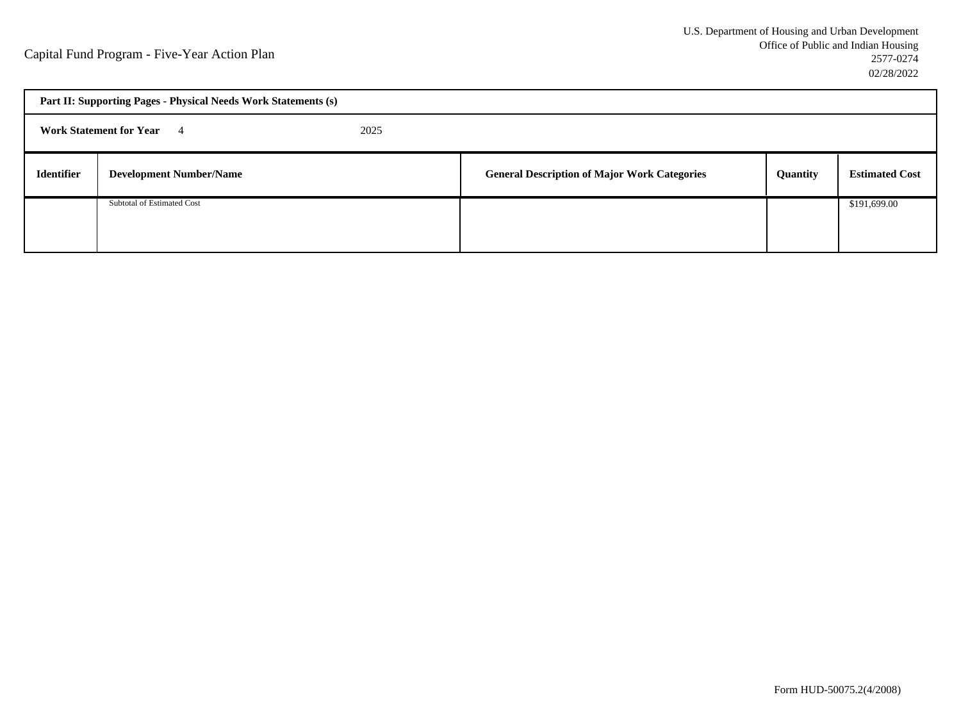| Part II: Supporting Pages - Physical Needs Work Statements (s) |                                  |      |                                                     |          |                       |  |
|----------------------------------------------------------------|----------------------------------|------|-----------------------------------------------------|----------|-----------------------|--|
|                                                                | <b>Work Statement for Year</b> 4 | 2025 |                                                     |          |                       |  |
| <b>Identifier</b>                                              | <b>Development Number/Name</b>   |      | <b>General Description of Major Work Categories</b> | Quantity | <b>Estimated Cost</b> |  |
|                                                                | Subtotal of Estimated Cost       |      |                                                     |          | \$191,699.00          |  |